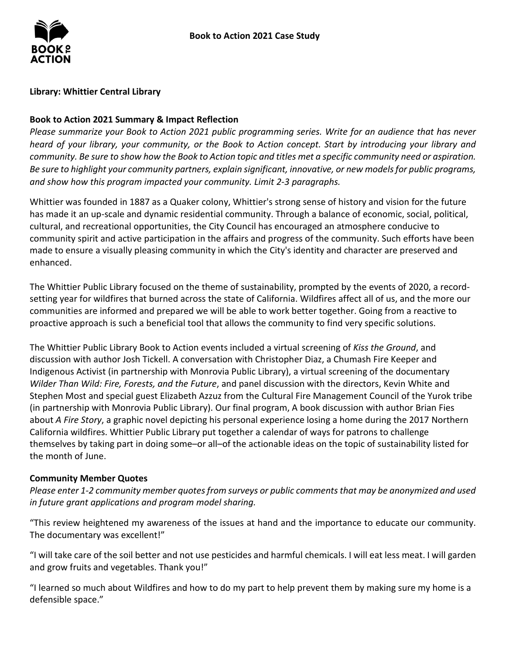# **Library: Whittier Central Library**

# **Book to Action 2021 Summary & Impact Reflection**

*Please summarize your Book to Action 2021 public programming series. Write for an audience that has never heard of your library, your community, or the Book to Action concept. Start by introducing your library and community. Be sure to show how the Book to Action topic and titles met a specific community need or aspiration. Be sure to highlight your community partners, explain significant, innovative, or new models for public programs, and show how this program impacted your community. Limit 2-3 paragraphs.* 

 Whittier was founded in 1887 as a Quaker colony, Whittier's strong sense of history and vision for the future has made it an up-scale and dynamic residential community. Through a balance of economic, social, political, cultural, and recreational opportunities, the City Council has encouraged an atmosphere conducive to community spirit and active participation in the affairs and progress of the community. Such efforts have been made to ensure a visually pleasing community in which the City's identity and character are preserved and enhanced.

 setting year for wildfires that burned across the state of California. Wildfires affect all of us, and the more our communities are informed and prepared we will be able to work better together. Going from a reactive to proactive approach is such a beneficial tool that allows the community to find very specific solutions. The Whittier Public Library focused on the theme of sustainability, prompted by the events of 2020, a record-

 The Whittier Public Library Book to Action events included a virtual screening of *Kiss the Ground*, and discussion with author Josh Tickell. A conversation with Christopher Diaz, a Chumash Fire Keeper and  *Wilder Than Wild: Fire, Forests, and the Future*, and panel discussion with the directors, Kevin White and  about *A Fire Story*, a graphic novel depicting his personal experience losing a home during the 2017 Northern California wildfires. Whittier Public Library put together a calendar of ways for patrons to challenge themselves by taking part in doing some–or all–of the actionable ideas on the topic of sustainability listed for Indigenous Activist (in partnership with Monrovia Public Library), a virtual screening of the documentary Stephen Most and special guest Elizabeth Azzuz from the Cultural Fire Management Council of the Yurok tribe (in partnership with Monrovia Public Library). Our final program, A book discussion with author Brian Fies the month of June.

#### **Community Member Quotes**

*Please enter 1-2 community member quotes from surveys or public comments that may be anonymized and used in future grant applications and program model sharing.* 

 "This review heightened my awareness of the issues at hand and the importance to educate our community. The documentary was excellent!"

 "I will take care of the soil better and not use pesticides and harmful chemicals. I will eat less meat. I will garden and grow fruits and vegetables. Thank you!"

"I learned so much about Wildfires and how to do my part to help prevent them by making sure my home is a defensible space."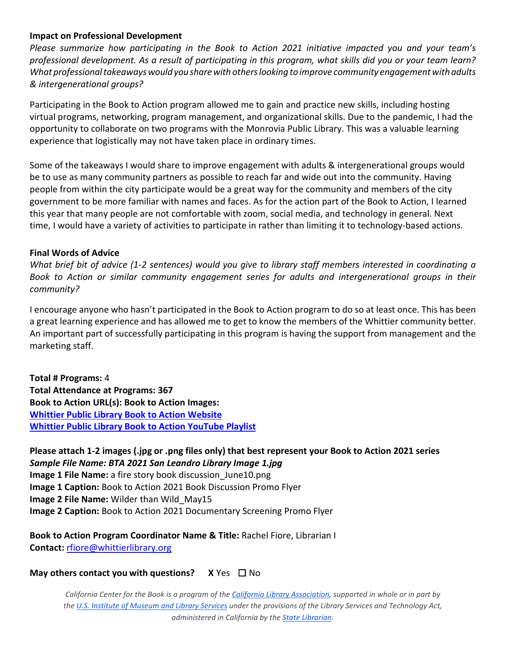# **Impact on Professional Development**

 *What professional takeaways would you share with others looking to improve community engagement with adults & intergenerational groups? Please summarize how participating in the Book to Action 2021 initiative impacted you and your team's professional development. As a result of participating in this program, what skills did you or your team learn?* 

 virtual programs, networking, program management, and organizational skills. Due to the pandemic, I had the opportunity to collaborate on two programs with the Monrovia Public Library. This was a valuable learning experience that logistically may not have taken place in ordinary times. Participating in the Book to Action program allowed me to gain and practice new skills, including hosting

 Some of the takeaways I would share to improve engagement with adults & intergenerational groups would people from within the city participate would be a great way for the community and members of the city government to be more familiar with names and faces. As for the action part of the Book to Action, I learned time, I would have a variety of activities to participate in rather than limiting it to technology-based actions. be to use as many community partners as possible to reach far and wide out into the community. Having this year that many people are not comfortable with zoom, social media, and technology in general. Next

# **Final Words of Advice**

*What brief bit of advice (1-2 sentences) would you give to library staff members interested in coordinating a Book to Action or similar community engagement series for adults and intergenerational groups in their community?* 

 a great learning experience and has allowed me to get to know the members of the Whittier community better. An important part of successfully participating in this program is having the support from management and the I encourage anyone who hasn't participated in the Book to Action program to do so at least once. This has been marketing staff.

 **Total # Programs:** 4 Book to Action URL(s): Book to Action Images: **Total Attendance at Programs: 367 Whittier Public Library Book to Action Website [Whittier Public Library Book to Action YouTube Playlist](https://www.youtube.com/playlist?list=PLybBeQ6FKwwXpQCXWT-v9IxybZrwp050b)** 

 **Please attach 1-2 images (.jpg or .png files only) that best represent your Book to Action 2021 series**   *Sample File Name: BTA 2021 San Leandro Library Image 1.jpg*  **Image 1 File Name:** a fire story book discussion June10.png **Image 1 Caption:** Book to Action 2021 Book Discussion Promo Flyer **Image 2 File Name:** Wilder than Wild\_May15 **Image 2 Caption:** Book to Action 2021 Documentary Screening Promo Flyer

**Book to Action Program Coordinator Name & Title:** Rachel Fiore, Librarian I **Contact:**[rfiore@whittierlibrary.org](mailto:rfiore@whittierlibrary.org) 

# **May others contact you with questions?** X Yes □ No

 *California Center for the Book is a program of the [California Library Association,](http://www.cla-net.org/) supported in whole or in part by th[e U.S. Institute of Museum and Library Services u](http://www.imls.gov/)nder the provisions of the Library Services and Technology Act, administered in California by the [State Librarian.](http://www.library.ca.gov/)*